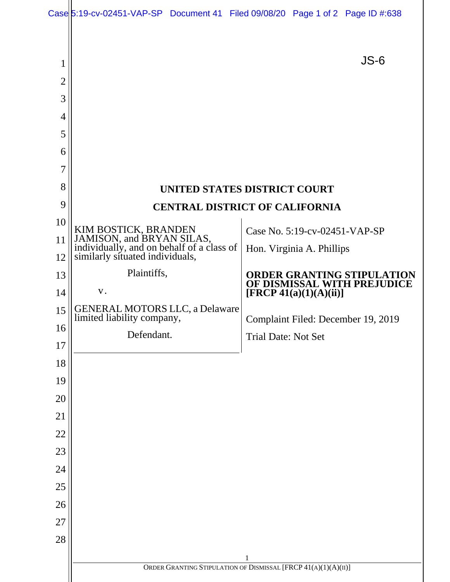| 1              |                                                                                                                                   | $JS-6$                                                            |  |
|----------------|-----------------------------------------------------------------------------------------------------------------------------------|-------------------------------------------------------------------|--|
| $\overline{2}$ |                                                                                                                                   |                                                                   |  |
| 3              |                                                                                                                                   |                                                                   |  |
| $\overline{4}$ |                                                                                                                                   |                                                                   |  |
| 5              |                                                                                                                                   |                                                                   |  |
| 6              |                                                                                                                                   |                                                                   |  |
| 7              |                                                                                                                                   |                                                                   |  |
| 8              |                                                                                                                                   | UNITED STATES DISTRICT COURT                                      |  |
| 9              | <b>CENTRAL DISTRICT OF CALIFORNIA</b>                                                                                             |                                                                   |  |
| 10             |                                                                                                                                   | Case No. 5:19-cv-02451-VAP-SP                                     |  |
| 11             | KIM BOSTICK, BRANDEN<br>JAMISON, and BRYAN SILAS,<br>individually, and on behalf of a class of<br>similarly situated individuals, | Hon. Virginia A. Phillips                                         |  |
| 12             |                                                                                                                                   |                                                                   |  |
| 13             | Plaintiffs,                                                                                                                       | <b>ORDER GRANTING STIPULATION<br/>OF DISMISSAL WITH PREJUDICE</b> |  |
| 14             | ${\bf V}$ .                                                                                                                       | [FRCP 41(a)(1)(A)(ii)]                                            |  |
| 15             | <b>GENERAL MOTORS LLC, a Delaware</b><br>limited liability company,                                                               | Complaint Filed: December 19, 2019                                |  |
| 16             | Defendant.                                                                                                                        | <b>Trial Date: Not Set</b>                                        |  |
| 17             |                                                                                                                                   |                                                                   |  |
| 18             |                                                                                                                                   |                                                                   |  |
| 19             |                                                                                                                                   |                                                                   |  |
| 20             |                                                                                                                                   |                                                                   |  |
| 21             |                                                                                                                                   |                                                                   |  |
| 22             |                                                                                                                                   |                                                                   |  |
| 23             |                                                                                                                                   |                                                                   |  |
| 24             |                                                                                                                                   |                                                                   |  |
| 25             |                                                                                                                                   |                                                                   |  |
| 26             |                                                                                                                                   |                                                                   |  |
| 27             |                                                                                                                                   |                                                                   |  |
| 28             |                                                                                                                                   |                                                                   |  |
|                | $\mathbf{1}$<br>ORDER GRANTING STIPULATION OF DISMISSAL [FRCP 41(A)(1)(A)(II)]                                                    |                                                                   |  |
|                |                                                                                                                                   |                                                                   |  |